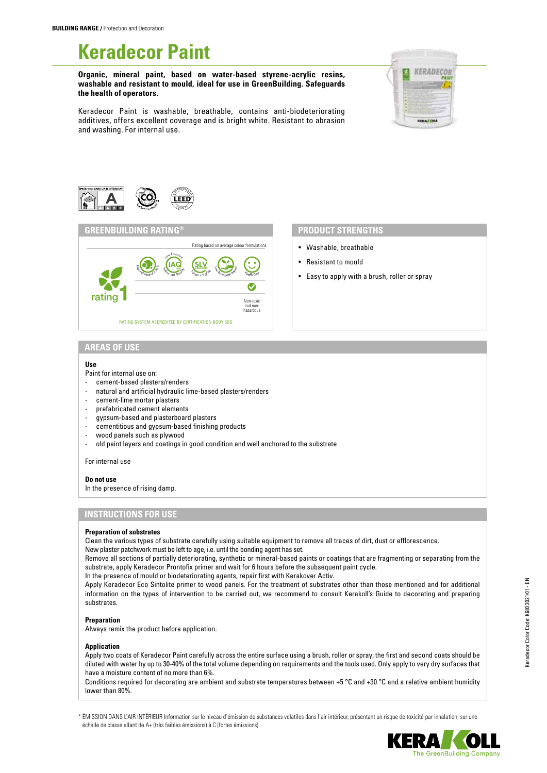# **Keradecor Paint**

**Organic, mineral paint, based on water-based styrene-acrylic resins, washable and resistant to mould, ideal for use in GreenBuilding. Safeguards the health of operators.**



Keradecor Paint is washable, breathable, contains anti-biodeteriorating additives, offers excellent coverage and is bright white. Resistant to abrasion and washing. For internal use.



## **GREENBUILDING RATING® PRODUCT STRENGTHS**



- Washable, breathable
- Resistant to mould
- Easy to apply with a brush, roller or spray

### **AREAS OF USE**

#### **Use**

- Paint for internal use on:
- cement-based plasters/renders
- natural and artificial hydraulic lime-based plasters/renders
- cement-lime mortar plasters
- prefabricated cement elements
- gypsum-based and plasterboard plasters
- cementitious and gypsum-based finishing products
- wood panels such as plywood
- old paint layers and coatings in good condition and well anchored to the substrate

For internal use

#### **Do not use**

In the presence of rising damp.

# **INSTRUCTIONS FOR USE**

#### **Preparation of substrates**

Clean the various types of substrate carefully using suitable equipment to remove all traces of dirt, dust or efflorescence. New plaster patchwork must be left to age, i.e. until the bonding agent has set.

Remove all sections of partially deteriorating, synthetic or mineral-based paints or coatings that are fragmenting or separating from the substrate, apply Keradecor Prontofix primer and wait for 6 hours before the subsequent paint cycle.

In the presence of mould or biodeteriorating agents, repair first with Kerakover Activ.

Apply Keradecor Eco Sintolite primer to wood panels. For the treatment of substrates other than those mentioned and for additional information on the types of intervention to be carried out, we recommend to consult Kerakoll's Guide to decorating and preparing substrates.

#### **Preparation**

Always remix the product before application.

#### **Application**

Apply two coats of Keradecor Paint carefully across the entire surface using a brush, roller or spray; the first and second coats should be diluted with water by up to 30-40% of the total volume depending on requirements and the tools used. Only apply to very dry surfaces that have a moisture content of no more than 6%.

Conditions required for decorating are ambient and substrate temperatures between +5 °C and +30 °C and a relative ambient humidity lower than 80%.

\* ÉMISSION DANS L'AIR INTÉRIEUR Information sur le niveau d'émission de substances volatiles dans l'air intérieur, présentant un risque de toxicité par inhalation, sur une échelle de classe allant de A+ (très faibles émissions) à C (fortes émissions).

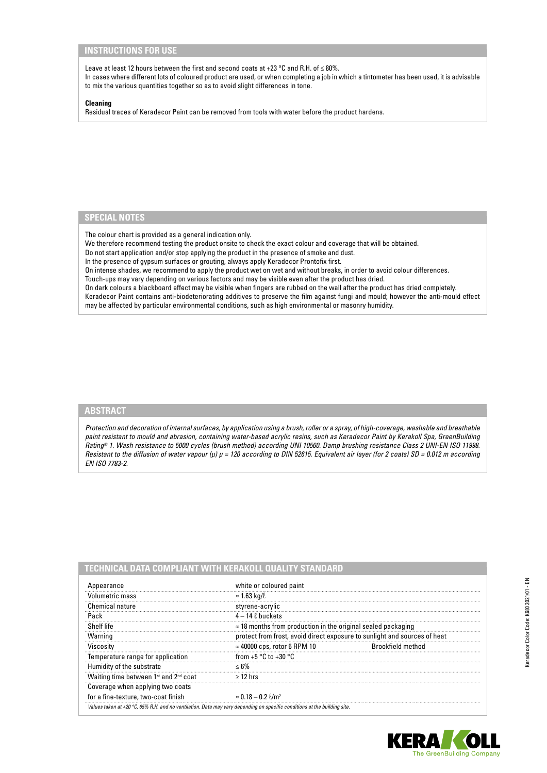# **INSTRUCTIONS FOR USE**

Leave at least 12 hours between the first and second coats at +23 °C and R.H. of ≤ 80%. In cases where different lots of coloured product are used, or when completing a job in which a tintometer has been used, it is advisable to mix the various quantities together so as to avoid slight differences in tone.

#### **Cleaning**

Residual traces of Keradecor Paint can be removed from tools with water before the product hardens.

# **SPECIAL NOTES**

The colour chart is provided as a general indication only.

We therefore recommend testing the product onsite to check the exact colour and coverage that will be obtained.

Do not start application and/or stop applying the product in the presence of smoke and dust.

In the presence of gypsum surfaces or grouting, always apply Keradecor Prontofix first.

On intense shades, we recommend to apply the product wet on wet and without breaks, in order to avoid colour differences.

Touch-ups may vary depending on various factors and may be visible even after the product has dried.

On dark colours a blackboard effect may be visible when fingers are rubbed on the wall after the product has dried completely. Keradecor Paint contains anti-biodeteriorating additives to preserve the film against fungi and mould; however the anti-mould effect may be affected by particular environmental conditions, such as high environmental or masonry humidity.

# **ABSTRACT**

*Protection and decoration of internal surfaces, by application using a brush, roller or a spray, of high-coverage, washable and breathable paint resistant to mould and abrasion, containing water-based acrylic resins, such as Keradecor Paint by Kerakoll Spa, GreenBuilding Rating® 1. Wash resistance to 5000 cycles (brush method) according UNI 10560. Damp brushing resistance Class 2 UNI-EN ISO 11998. Resistant to the diffusion of water vapour (μ) μ = 120 according to DIN 52615. Equivalent air layer (for 2 coats) SD = 0.012 m according EN ISO 7783-2.*

| Appearance                                                                                                                | white or coloured paint                                                   |                   |
|---------------------------------------------------------------------------------------------------------------------------|---------------------------------------------------------------------------|-------------------|
| Volumetric mass                                                                                                           | $\approx$ 1.63 kg/l                                                       |                   |
| Chemical nature                                                                                                           | styrene-acrylic                                                           |                   |
| Pack                                                                                                                      | $4 - 14$ $\ell$ buckets                                                   |                   |
| Shelf life                                                                                                                | $\approx$ 18 months from production in the original sealed packaging      |                   |
| Warning                                                                                                                   | protect from frost, avoid direct exposure to sunlight and sources of heat |                   |
| Viscosity                                                                                                                 | $\approx$ 40000 cps, rotor 6 RPM 10                                       | Brookfield method |
| Temperature range for application                                                                                         | from $+5$ °C to $+30$ °C                                                  |                   |
| Humidity of the substrate                                                                                                 | $< 6\%$                                                                   |                   |
| Waiting time between 1 <sup>st</sup> and 2 <sup>nd</sup> coat                                                             | $>12$ hrs                                                                 |                   |
| Coverage when applying two coats                                                                                          |                                                                           |                   |
| for a fine-texture, two-coat finish                                                                                       | $\approx 0.18 - 0.2$ $\ell/m^2$                                           |                   |
| Values taken at +20 °C, 65% R.H. and no ventilation. Data may vary depending on specific conditions at the building site. |                                                                           |                   |